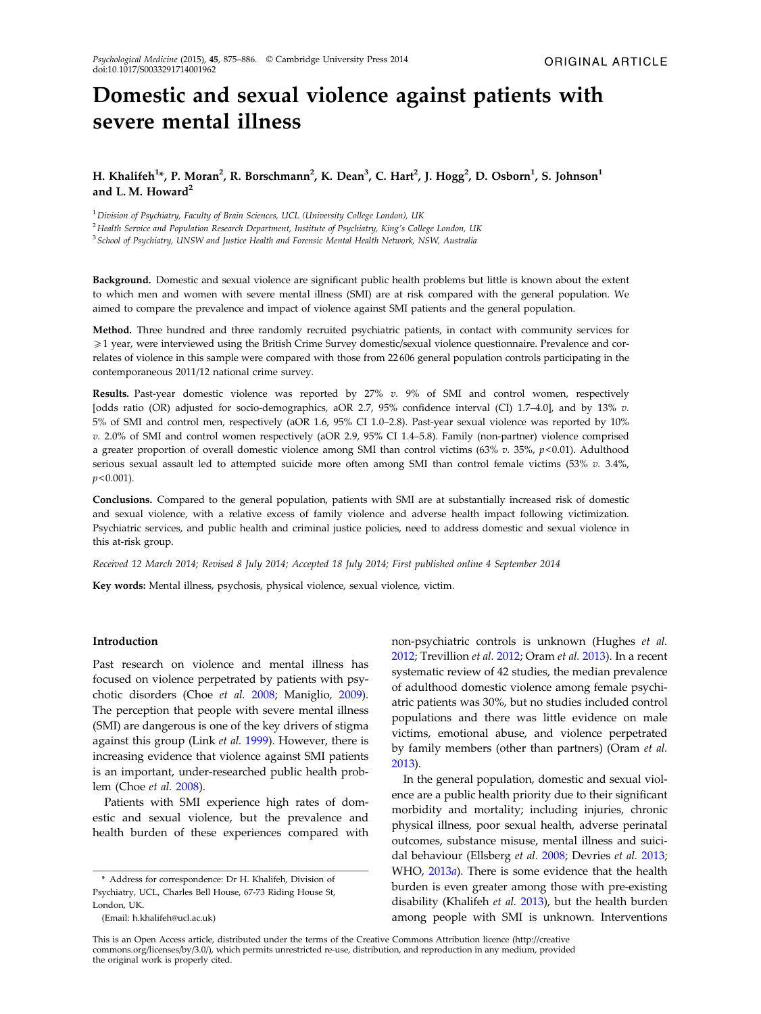# Domestic and sexual violence against patients with severe mental illness

## H. Khalifeh<sup>1</sup>\*, P. Moran<sup>2</sup>, R. Borschmann<sup>2</sup>, K. Dean<sup>3</sup>, C. Hart<sup>2</sup>, J. Hogg<sup>2</sup>, D. Osborn<sup>1</sup>, S. Johnson<sup>1</sup> and L. M. Howard $<sup>2</sup>$ </sup>

<sup>1</sup> Division of Psychiatry, Faculty of Brain Sciences, UCL (University College London), UK

<sup>2</sup> Health Service and Population Research Department, Institute of Psychiatry, King's College London, UK

<sup>3</sup> School of Psychiatry, UNSW and Justice Health and Forensic Mental Health Network, NSW, Australia

Background. Domestic and sexual violence are significant public health problems but little is known about the extent to which men and women with severe mental illness (SMI) are at risk compared with the general population. We aimed to compare the prevalence and impact of violence against SMI patients and the general population.

Method. Three hundred and three randomly recruited psychiatric patients, in contact with community services for 51 year, were interviewed using the British Crime Survey domestic/sexual violence questionnaire. Prevalence and correlates of violence in this sample were compared with those from 22 606 general population controls participating in the contemporaneous 2011/12 national crime survey.

Results. Past-year domestic violence was reported by 27% v. 9% of SMI and control women, respectively [odds ratio (OR) adjusted for socio-demographics, aOR 2.7, 95% confidence interval (CI) 1.7–4.0], and by 13% v. 5% of SMI and control men, respectively (aOR 1.6, 95% CI 1.0–2.8). Past-year sexual violence was reported by 10% v. 2.0% of SMI and control women respectively (aOR 2.9, 95% CI 1.4–5.8). Family (non-partner) violence comprised a greater proportion of overall domestic violence among SMI than control victims (63% v. 35%,  $p$  < 0.01). Adulthood serious sexual assault led to attempted suicide more often among SMI than control female victims (53% v. 3.4%,  $p < 0.001$ ).

Conclusions. Compared to the general population, patients with SMI are at substantially increased risk of domestic and sexual violence, with a relative excess of family violence and adverse health impact following victimization. Psychiatric services, and public health and criminal justice policies, need to address domestic and sexual violence in this at-risk group.

Received 12 March 2014; Revised 8 July 2014; Accepted 18 July 2014; First published online 4 September 2014

Key words: Mental illness, psychosis, physical violence, sexual violence, victim.

#### Introduction

Past research on violence and mental illness has focused on violence perpetrated by patients with psychotic disorders (Choe et al. [2008](#page-10-0); Maniglio, [2009](#page-11-0)). The perception that people with severe mental illness (SMI) are dangerous is one of the key drivers of stigma against this group (Link et al. [1999](#page-11-0)). However, there is increasing evidence that violence against SMI patients is an important, under-researched public health problem (Choe et al. [2008\)](#page-10-0).

Patients with SMI experience high rates of domestic and sexual violence, but the prevalence and health burden of these experiences compared with

(Email: h.khalifeh@ucl.ac.uk)

non-psychiatric controls is unknown (Hughes et al. [2012;](#page-11-0) Trevillion et al. [2012](#page-11-0); Oram et al. [2013](#page-11-0)). In a recent systematic review of 42 studies, the median prevalence of adulthood domestic violence among female psychiatric patients was 30%, but no studies included control populations and there was little evidence on male victims, emotional abuse, and violence perpetrated by family members (other than partners) (Oram et al. [2013\)](#page-11-0).

In the general population, domestic and sexual violence are a public health priority due to their significant morbidity and mortality; including injuries, chronic physical illness, poor sexual health, adverse perinatal outcomes, substance misuse, mental illness and suici-dal behaviour (Ellsberg et al. [2008](#page-10-0); Devries et al. [2013](#page-10-0); WHO, [2013](#page-11-0)a). There is some evidence that the health burden is even greater among those with pre-existing disability (Khalifeh et al. [2013\)](#page-11-0), but the health burden among people with SMI is unknown. Interventions

This is an Open Access article, distributed under the terms of the Creative Commons Attribution licence (http://creative commons.org/licenses/by/3.0/), which permits unrestricted re-use, distribution, and reproduction in any medium, provided the original work is properly cited.

<sup>\*</sup> Address for correspondence: Dr H. Khalifeh, Division of Psychiatry, UCL, Charles Bell House, 67-73 Riding House St, London, UK.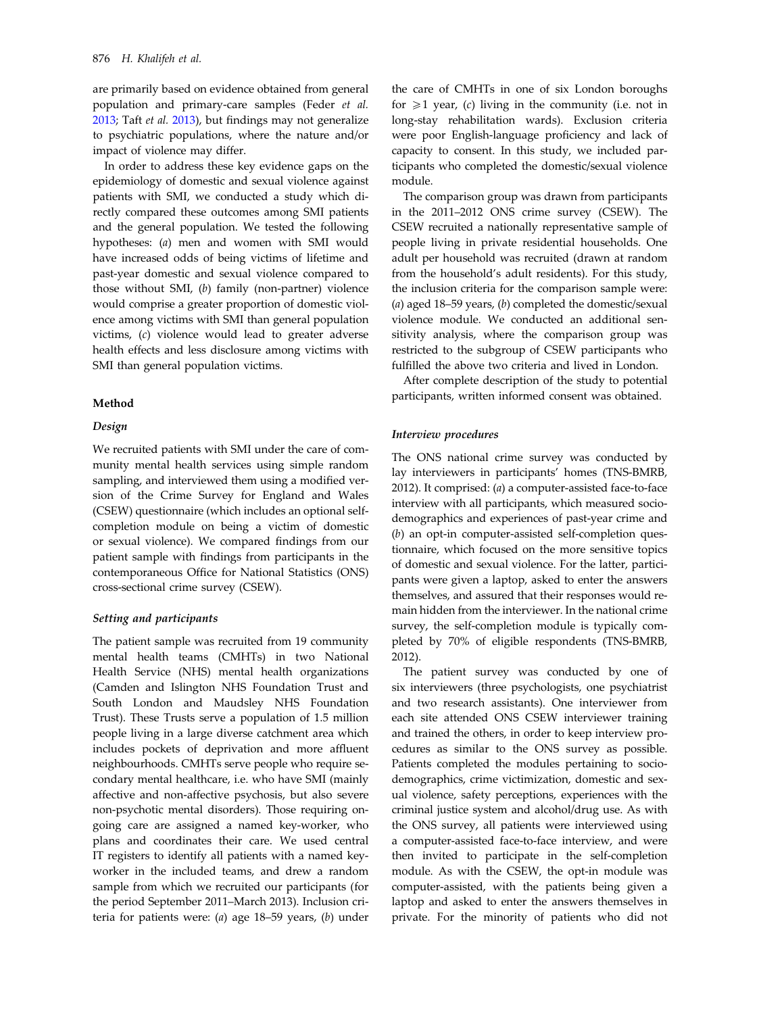are primarily based on evidence obtained from general population and primary-care samples (Feder et al. [2013;](#page-10-0) Taft et al. [2013](#page-11-0)), but findings may not generalize to psychiatric populations, where the nature and/or impact of violence may differ.

In order to address these key evidence gaps on the epidemiology of domestic and sexual violence against patients with SMI, we conducted a study which directly compared these outcomes among SMI patients and the general population. We tested the following hypotheses: (a) men and women with SMI would have increased odds of being victims of lifetime and past-year domestic and sexual violence compared to those without SMI, (b) family (non-partner) violence would comprise a greater proportion of domestic violence among victims with SMI than general population victims, (c) violence would lead to greater adverse health effects and less disclosure among victims with SMI than general population victims.

#### Method

#### Design

We recruited patients with SMI under the care of community mental health services using simple random sampling, and interviewed them using a modified version of the Crime Survey for England and Wales (CSEW) questionnaire (which includes an optional selfcompletion module on being a victim of domestic or sexual violence). We compared findings from our patient sample with findings from participants in the contemporaneous Office for National Statistics (ONS) cross-sectional crime survey (CSEW).

## Setting and participants

The patient sample was recruited from 19 community mental health teams (CMHTs) in two National Health Service (NHS) mental health organizations (Camden and Islington NHS Foundation Trust and South London and Maudsley NHS Foundation Trust). These Trusts serve a population of 1.5 million people living in a large diverse catchment area which includes pockets of deprivation and more affluent neighbourhoods. CMHTs serve people who require secondary mental healthcare, i.e. who have SMI (mainly affective and non-affective psychosis, but also severe non-psychotic mental disorders). Those requiring ongoing care are assigned a named key-worker, who plans and coordinates their care. We used central IT registers to identify all patients with a named keyworker in the included teams, and drew a random sample from which we recruited our participants (for the period September 2011–March 2013). Inclusion criteria for patients were: (a) age 18–59 years, (b) under

the care of CMHTs in one of six London boroughs for  $\geq 1$  year, (c) living in the community (i.e. not in long-stay rehabilitation wards). Exclusion criteria were poor English-language proficiency and lack of capacity to consent. In this study, we included participants who completed the domestic/sexual violence module.

The comparison group was drawn from participants in the 2011–2012 ONS crime survey (CSEW). The CSEW recruited a nationally representative sample of people living in private residential households. One adult per household was recruited (drawn at random from the household's adult residents). For this study, the inclusion criteria for the comparison sample were: (a) aged  $18-59$  years, (b) completed the domestic/sexual violence module. We conducted an additional sensitivity analysis, where the comparison group was restricted to the subgroup of CSEW participants who fulfilled the above two criteria and lived in London.

After complete description of the study to potential participants, written informed consent was obtained.

#### Interview procedures

The ONS national crime survey was conducted by lay interviewers in participants' homes (TNS-BMRB, 2012). It comprised: (a) a computer-assisted face-to-face interview with all participants, which measured sociodemographics and experiences of past-year crime and (b) an opt-in computer-assisted self-completion questionnaire, which focused on the more sensitive topics of domestic and sexual violence. For the latter, participants were given a laptop, asked to enter the answers themselves, and assured that their responses would remain hidden from the interviewer. In the national crime survey, the self-completion module is typically completed by 70% of eligible respondents (TNS-BMRB, 2012).

The patient survey was conducted by one of six interviewers (three psychologists, one psychiatrist and two research assistants). One interviewer from each site attended ONS CSEW interviewer training and trained the others, in order to keep interview procedures as similar to the ONS survey as possible. Patients completed the modules pertaining to sociodemographics, crime victimization, domestic and sexual violence, safety perceptions, experiences with the criminal justice system and alcohol/drug use. As with the ONS survey, all patients were interviewed using a computer-assisted face-to-face interview, and were then invited to participate in the self-completion module. As with the CSEW, the opt-in module was computer-assisted, with the patients being given a laptop and asked to enter the answers themselves in private. For the minority of patients who did not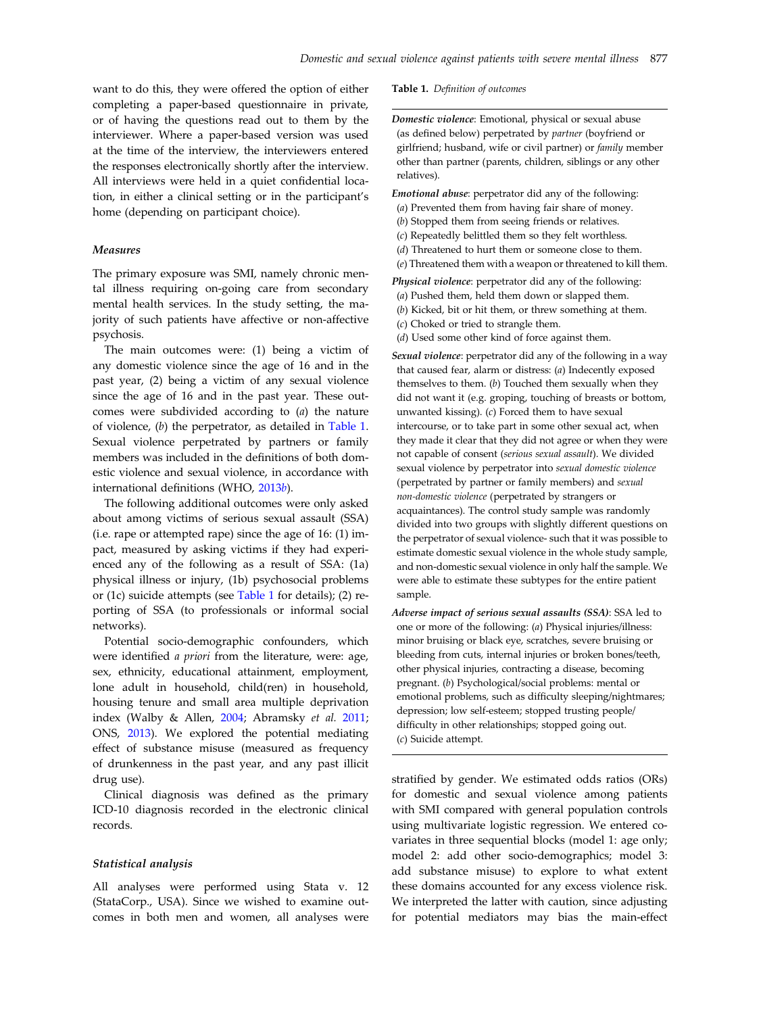want to do this, they were offered the option of either completing a paper-based questionnaire in private, or of having the questions read out to them by the interviewer. Where a paper-based version was used at the time of the interview, the interviewers entered the responses electronically shortly after the interview. All interviews were held in a quiet confidential location, in either a clinical setting or in the participant's home (depending on participant choice).

## Measures

The primary exposure was SMI, namely chronic mental illness requiring on-going care from secondary mental health services. In the study setting, the majority of such patients have affective or non-affective psychosis.

The main outcomes were: (1) being a victim of any domestic violence since the age of 16 and in the past year, (2) being a victim of any sexual violence since the age of 16 and in the past year. These outcomes were subdivided according to (a) the nature of violence, (b) the perpetrator, as detailed in Table 1. Sexual violence perpetrated by partners or family members was included in the definitions of both domestic violence and sexual violence, in accordance with international definitions (WHO, [2013](#page-11-0)b).

The following additional outcomes were only asked about among victims of serious sexual assault (SSA) (i.e. rape or attempted rape) since the age of 16: (1) impact, measured by asking victims if they had experienced any of the following as a result of SSA: (1a) physical illness or injury, (1b) psychosocial problems or (1c) suicide attempts (see Table 1 for details); (2) reporting of SSA (to professionals or informal social networks).

Potential socio-demographic confounders, which were identified a priori from the literature, were: age, sex, ethnicity, educational attainment, employment, lone adult in household, child(ren) in household, housing tenure and small area multiple deprivation index (Walby & Allen, [2004;](#page-11-0) Abramsky et al. [2011](#page-10-0); ONS, [2013](#page-11-0)). We explored the potential mediating effect of substance misuse (measured as frequency of drunkenness in the past year, and any past illicit drug use).

Clinical diagnosis was defined as the primary ICD-10 diagnosis recorded in the electronic clinical records.

#### Statistical analysis

All analyses were performed using Stata v. 12 (StataCorp., USA). Since we wished to examine outcomes in both men and women, all analyses were Table 1. Definition of outcomes

Domestic violence: Emotional, physical or sexual abuse (as defined below) perpetrated by partner (boyfriend or girlfriend; husband, wife or civil partner) or family member other than partner (parents, children, siblings or any other relatives).

Emotional abuse: perpetrator did any of the following:

- (a) Prevented them from having fair share of money.
- (b) Stopped them from seeing friends or relatives.
- (c) Repeatedly belittled them so they felt worthless.
- (d) Threatened to hurt them or someone close to them.
- (e) Threatened them with a weapon or threatened to kill them.
- Physical violence: perpetrator did any of the following:
- (a) Pushed them, held them down or slapped them.
- (b) Kicked, bit or hit them, or threw something at them.
- (c) Choked or tried to strangle them.
- (d) Used some other kind of force against them.

Sexual violence: perpetrator did any of the following in a way that caused fear, alarm or distress: (a) Indecently exposed themselves to them. (b) Touched them sexually when they did not want it (e.g. groping, touching of breasts or bottom, unwanted kissing).  $(c)$  Forced them to have sexual intercourse, or to take part in some other sexual act, when they made it clear that they did not agree or when they were not capable of consent (serious sexual assault). We divided sexual violence by perpetrator into sexual domestic violence (perpetrated by partner or family members) and sexual non-domestic violence (perpetrated by strangers or acquaintances). The control study sample was randomly divided into two groups with slightly different questions on the perpetrator of sexual violence- such that it was possible to estimate domestic sexual violence in the whole study sample, and non-domestic sexual violence in only half the sample. We were able to estimate these subtypes for the entire patient sample.

Adverse impact of serious sexual assaults (SSA): SSA led to one or more of the following: (a) Physical injuries/illness: minor bruising or black eye, scratches, severe bruising or bleeding from cuts, internal injuries or broken bones/teeth, other physical injuries, contracting a disease, becoming pregnant. (b) Psychological/social problems: mental or emotional problems, such as difficulty sleeping/nightmares; depression; low self-esteem; stopped trusting people/ difficulty in other relationships; stopped going out. (c) Suicide attempt.

stratified by gender. We estimated odds ratios (ORs) for domestic and sexual violence among patients with SMI compared with general population controls using multivariate logistic regression. We entered covariates in three sequential blocks (model 1: age only; model 2: add other socio-demographics; model 3: add substance misuse) to explore to what extent these domains accounted for any excess violence risk. We interpreted the latter with caution, since adjusting for potential mediators may bias the main-effect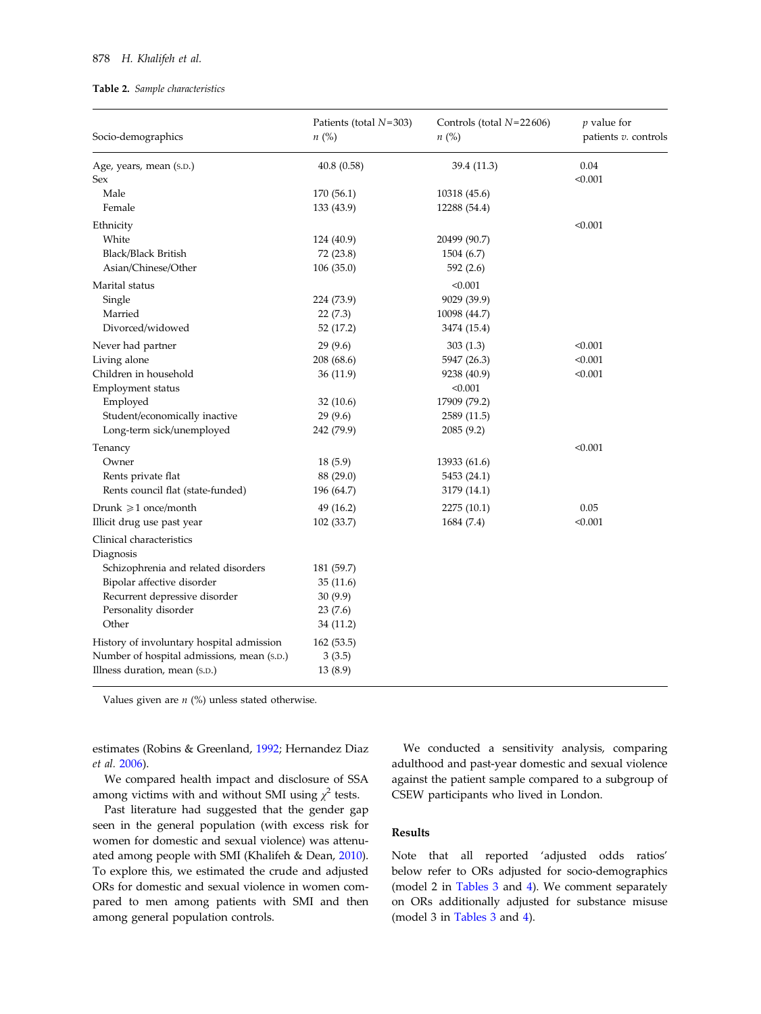#### <span id="page-3-0"></span>878 H. Khalifeh et al.

#### Table 2. Sample characteristics

| Socio-demographics                                                                      | Patients (total $N=303$ )<br>n (%) | Controls (total $N=22606$ )<br>$n\ (\%)$ | $p$ value for<br>patients v. controls |
|-----------------------------------------------------------------------------------------|------------------------------------|------------------------------------------|---------------------------------------|
| Age, years, mean (s.p.)                                                                 | 40.8(0.58)                         | 39.4 (11.3)                              | 0.04                                  |
| Sex                                                                                     |                                    |                                          | < 0.001                               |
| Male                                                                                    | 170 (56.1)                         | 10318 (45.6)                             |                                       |
| Female                                                                                  | 133 (43.9)                         | 12288 (54.4)                             |                                       |
| Ethnicity                                                                               |                                    |                                          | < 0.001                               |
| White                                                                                   | 124 (40.9)                         | 20499 (90.7)                             |                                       |
| <b>Black/Black British</b>                                                              | 72 (23.8)                          | 1504 (6.7)                               |                                       |
| Asian/Chinese/Other                                                                     | 106(35.0)                          | 592 (2.6)                                |                                       |
| Marital status                                                                          |                                    | < 0.001                                  |                                       |
| Single                                                                                  | 224 (73.9)                         | 9029 (39.9)                              |                                       |
| Married                                                                                 | 22(7.3)                            | 10098 (44.7)                             |                                       |
| Divorced/widowed                                                                        | 52 (17.2)                          | 3474 (15.4)                              |                                       |
| Never had partner                                                                       | 29(9.6)                            | 303(1.3)                                 | < 0.001                               |
| Living alone                                                                            | 208 (68.6)                         | 5947 (26.3)                              | < 0.001                               |
| Children in household                                                                   | 36(11.9)                           | 9238 (40.9)                              | < 0.001                               |
| Employment status                                                                       |                                    | < 0.001                                  |                                       |
| Employed                                                                                | 32(10.6)                           | 17909 (79.2)                             |                                       |
| Student/economically inactive                                                           | 29(9.6)                            | 2589 (11.5)                              |                                       |
| Long-term sick/unemployed                                                               | 242 (79.9)                         | 2085(9.2)                                |                                       |
| Tenancy                                                                                 |                                    |                                          | < 0.001                               |
| Owner                                                                                   | 18(5.9)                            | 13933 (61.6)                             |                                       |
| Rents private flat                                                                      | 88 (29.0)                          | 5453 (24.1)                              |                                       |
| Rents council flat (state-funded)                                                       | 196 (64.7)                         | 3179 (14.1)                              |                                       |
| Drunk $\geqslant$ 1 once/month                                                          | 49 (16.2)                          | 2275 (10.1)                              | 0.05                                  |
| Illicit drug use past year                                                              | 102(33.7)                          | 1684 (7.4)                               | < 0.001                               |
| Clinical characteristics                                                                |                                    |                                          |                                       |
| Diagnosis                                                                               |                                    |                                          |                                       |
| Schizophrenia and related disorders                                                     | 181 (59.7)                         |                                          |                                       |
| Bipolar affective disorder                                                              | 35 (11.6)                          |                                          |                                       |
| Recurrent depressive disorder                                                           | 30(9.9)                            |                                          |                                       |
| Personality disorder                                                                    | 23(7.6)                            |                                          |                                       |
| Other                                                                                   | 34 (11.2)                          |                                          |                                       |
|                                                                                         |                                    |                                          |                                       |
| History of involuntary hospital admission<br>Number of hospital admissions, mean (s.D.) | 162(53.5)                          |                                          |                                       |
| Illness duration, mean (S.D.)                                                           | 3(3.5)<br>13(8.9)                  |                                          |                                       |
|                                                                                         |                                    |                                          |                                       |

Values given are  $n$  (%) unless stated otherwise.

estimates (Robins & Greenland, [1992](#page-11-0); Hernandez Diaz et al. [2006\)](#page-11-0).

We compared health impact and disclosure of SSA among victims with and without SMI using  $\chi^2$  tests.

Past literature had suggested that the gender gap seen in the general population (with excess risk for women for domestic and sexual violence) was attenuated among people with SMI (Khalifeh & Dean, [2010](#page-11-0)). To explore this, we estimated the crude and adjusted ORs for domestic and sexual violence in women compared to men among patients with SMI and then among general population controls.

We conducted a sensitivity analysis, comparing adulthood and past-year domestic and sexual violence against the patient sample compared to a subgroup of CSEW participants who lived in London.

# Results

Note that all reported 'adjusted odds ratios' below refer to ORs adjusted for socio-demographics (model 2 in [Tables 3](#page-4-0) and [4\)](#page-5-0). We comment separately on ORs additionally adjusted for substance misuse (model 3 in [Tables 3](#page-4-0) and [4\)](#page-5-0).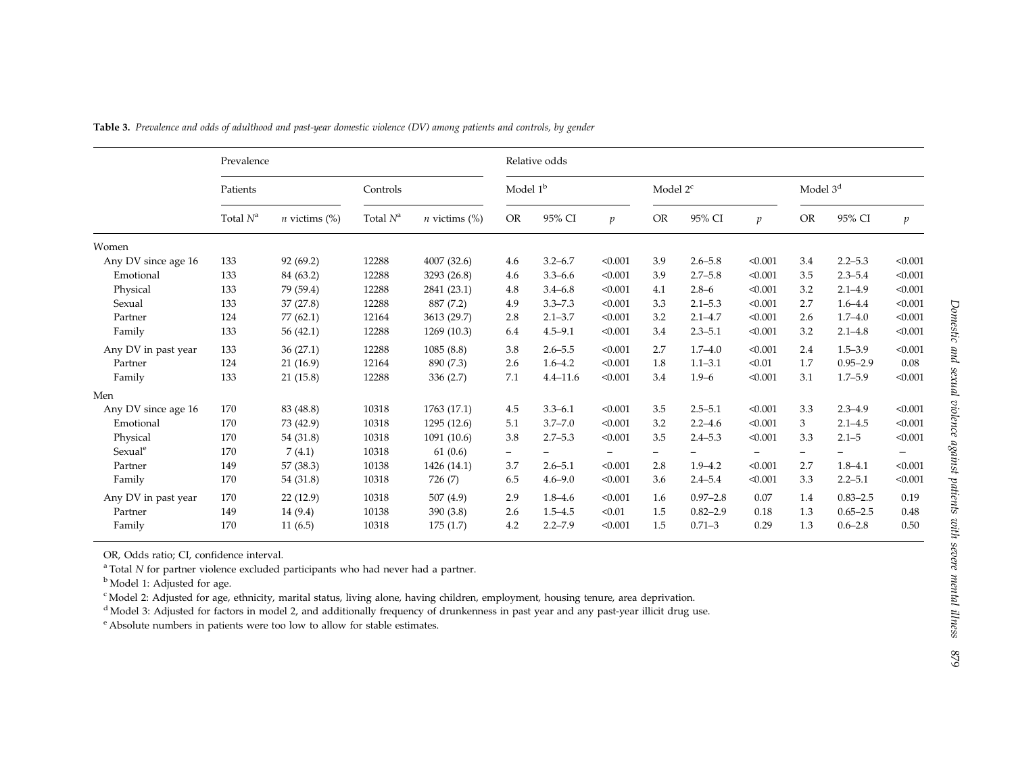|                     | Prevalence  |                                |             |                                | Relative odds        |              |                |                          |              |                          |                          |              |                |
|---------------------|-------------|--------------------------------|-------------|--------------------------------|----------------------|--------------|----------------|--------------------------|--------------|--------------------------|--------------------------|--------------|----------------|
|                     | Patients    |                                | Controls    |                                | Model 1 <sup>b</sup> |              |                | Model $2c$               |              |                          | Model 3 <sup>d</sup>     |              |                |
|                     | Total $N^a$ | $n$ victims $\left(\% \right)$ | Total $N^a$ | $n$ victims $\left(\% \right)$ | <b>OR</b>            | 95% CI       | $\mathfrak{p}$ | <b>OR</b>                | 95% CI       | $\mathcal{V}$            | <b>OR</b>                | 95% CI       | $\mathfrak{p}$ |
| Women               |             |                                |             |                                |                      |              |                |                          |              |                          |                          |              |                |
| Any DV since age 16 | 133         | 92 (69.2)                      | 12288       | 4007 (32.6)                    | 4.6                  | $3.2 - 6.7$  | < 0.001        | 3.9                      | $2.6 - 5.8$  | < 0.001                  | 3.4                      | $2.2 - 5.3$  | < 0.001        |
| Emotional           | 133         | 84 (63.2)                      | 12288       | 3293 (26.8)                    | 4.6                  | $3.3 - 6.6$  | < 0.001        | 3.9                      | $2.7 - 5.8$  | < 0.001                  | 3.5                      | $2.3 - 5.4$  | < 0.001        |
| Physical            | 133         | 79 (59.4)                      | 12288       | 2841 (23.1)                    | 4.8                  | $3.4 - 6.8$  | < 0.001        | 4.1                      | $2.8 - 6$    | < 0.001                  | 3.2                      | $2.1 - 4.9$  | < 0.001        |
| Sexual              | 133         | 37(27.8)                       | 12288       | 887 (7.2)                      | 4.9                  | $3.3 - 7.3$  | < 0.001        | 3.3                      | $2.1 - 5.3$  | < 0.001                  | 2.7                      | $1.6 - 4.4$  | < 0.001        |
| Partner             | 124         | 77 (62.1)                      | 12164       | 3613 (29.7)                    | 2.8                  | $2.1 - 3.7$  | < 0.001        | 3.2                      | $2.1 - 4.7$  | < 0.001                  | 2.6                      | $1.7 - 4.0$  | < 0.001        |
| Family              | 133         | 56 $(42.1)$                    | 12288       | 1269 (10.3)                    | 6.4                  | $4.5 - 9.1$  | < 0.001        | 3.4                      | $2.3 - 5.1$  | < 0.001                  | 3.2                      | $2.1 - 4.8$  | < 0.001        |
| Any DV in past year | 133         | 36(27.1)                       | 12288       | 1085(8.8)                      | 3.8                  | $2.6 - 5.5$  | < 0.001        | 2.7                      | $1.7 - 4.0$  | < 0.001                  | 2.4                      | $1.5 - 3.9$  | < 0.001        |
| Partner             | 124         | 21(16.9)                       | 12164       | 890 (7.3)                      | 2.6                  | $1.6 - 4.2$  | < 0.001        | 1.8                      | $1.1 - 3.1$  | < 0.01                   | 1.7                      | $0.95 - 2.9$ | 0.08           |
| Family              | 133         | 21(15.8)                       | 12288       | 336(2.7)                       | 7.1                  | $4.4 - 11.6$ | < 0.001        | 3.4                      | $1.9 - 6$    | < 0.001                  | 3.1                      | $1.7 - 5.9$  | < 0.001        |
| Men                 |             |                                |             |                                |                      |              |                |                          |              |                          |                          |              |                |
| Any DV since age 16 | 170         | 83 (48.8)                      | 10318       | 1763 (17.1)                    | 4.5                  | $3.3 - 6.1$  | < 0.001        | 3.5                      | $2.5 - 5.1$  | < 0.001                  | 3.3                      | $2.3 - 4.9$  | < 0.001        |
| Emotional           | 170         | 73 (42.9)                      | 10318       | 1295 (12.6)                    | 5.1                  | $3.7 - 7.0$  | < 0.001        | 3.2                      | $2.2 - 4.6$  | < 0.001                  | 3                        | $2.1 - 4.5$  | < 0.001        |
| Physical            | 170         | 54 (31.8)                      | 10318       | 1091 (10.6)                    | 3.8                  | $2.7 - 5.3$  | < 0.001        | 3.5                      | $2.4 - 5.3$  | < 0.001                  | 3.3                      | $2.1 - 5$    | < 0.001        |
| Sexual <sup>e</sup> | 170         | 7(4.1)                         | 10318       | 61(0.6)                        | $\qquad \qquad -$    |              |                | $\overline{\phantom{0}}$ |              | $\overline{\phantom{0}}$ | $\overline{\phantom{0}}$ |              |                |
| Partner             | 149         | 57 (38.3)                      | 10138       | 1426 (14.1)                    | 3.7                  | $2.6 - 5.1$  | < 0.001        | 2.8                      | $1.9 - 4.2$  | < 0.001                  | 2.7                      | $1.8 - 4.1$  | < 0.001        |
| Family              | 170         | 54 (31.8)                      | 10318       | 726 (7)                        | 6.5                  | $4.6 - 9.0$  | < 0.001        | 3.6                      | $2.4 - 5.4$  | < 0.001                  | 3.3                      | $2.2 - 5.1$  | < 0.001        |
| Any DV in past year | 170         | 22(12.9)                       | 10318       | 507(4.9)                       | 2.9                  | $1.8 - 4.6$  | < 0.001        | 1.6                      | $0.97 - 2.8$ | 0.07                     | 1.4                      | $0.83 - 2.5$ | 0.19           |
| Partner             | 149         | 14 (9.4)                       | 10138       | 390(3.8)                       | 2.6                  | $1.5 - 4.5$  | < 0.01         | 1.5                      | $0.82 - 2.9$ | 0.18                     | 1.3                      | $0.65 - 2.5$ | 0.48           |
| Family              | 170         | 11(6.5)                        | 10318       | 175(1.7)                       | 4.2                  | $2.2 - 7.9$  | < 0.001        | 1.5                      | $0.71 - 3$   | 0.29                     | 1.3                      | $0.6 - 2.8$  | 0.50           |

<span id="page-4-0"></span>Table 3. Prevalence and odds of adulthood and past-year domestic violence (DV) among patients and controls, by gender

OR, Odds ratio; CI, confidence interval.

 $^{\rm a}$  Total N for partner violence excluded participants who had never had a partner.

<sup>b</sup> Model 1: Adjusted for age.

c Model 2: Adjusted for age, ethnicity, marital status, living alone, having children, employment, housing tenure, area deprivation.

<sup>d</sup> Model 3: Adjusted for factors in model 2, and additionally frequency of drunkenness in past year and any past-year illicit drug use.

<sup>e</sup> Absolute numbers in patients were too low to allow for stable estimates.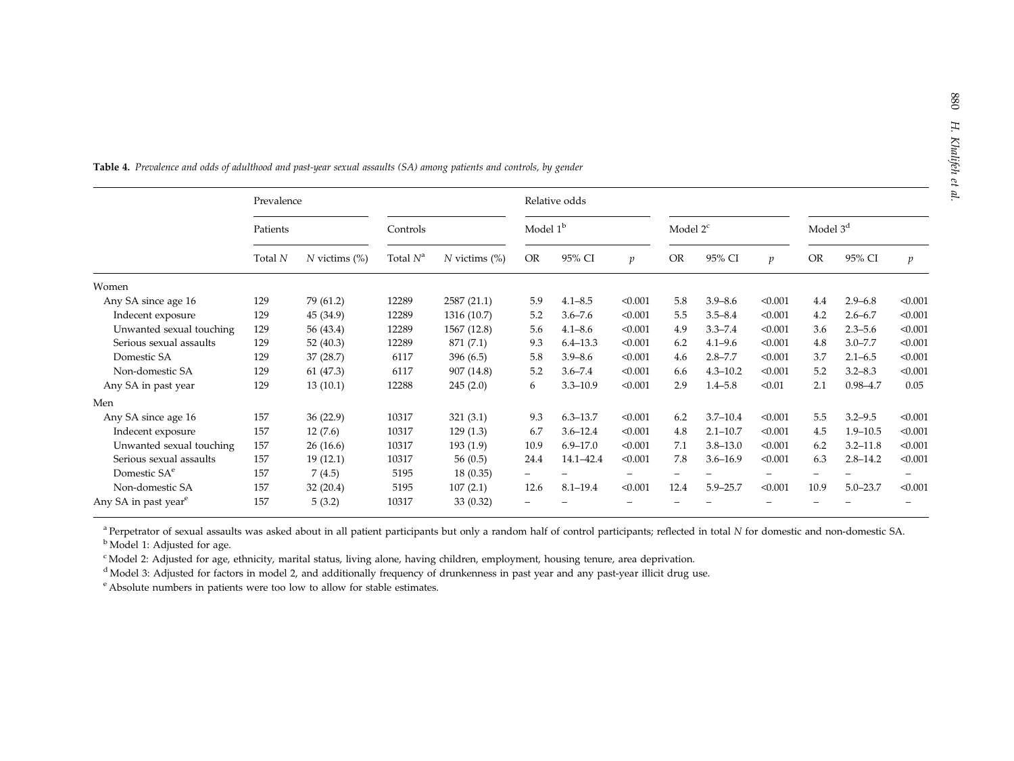|                                  | Prevalence |                           |             |                           |                      | Relative odds |               |            |              |               |                      |              |                |
|----------------------------------|------------|---------------------------|-------------|---------------------------|----------------------|---------------|---------------|------------|--------------|---------------|----------------------|--------------|----------------|
|                                  | Patients   |                           | Controls    |                           | Model 1 <sup>b</sup> |               |               | Model $2c$ |              |               | Model 3 <sup>d</sup> |              |                |
|                                  | Total N    | $N$ victims $\frac{6}{6}$ | Total $N^a$ | $N$ victims $\frac{6}{6}$ | <b>OR</b>            | 95% CI        | $\mathcal{V}$ | <b>OR</b>  | 95% CI       | $\mathcal{V}$ | <b>OR</b>            | 95% CI       | $\mathfrak{p}$ |
| Women                            |            |                           |             |                           |                      |               |               |            |              |               |                      |              |                |
| Any SA since age 16              | 129        | 79 (61.2)                 | 12289       | 2587 (21.1)               | 5.9                  | $4.1 - 8.5$   | < 0.001       | 5.8        | $3.9 - 8.6$  | < 0.001       | 4.4                  | $2.9 - 6.8$  | < 0.001        |
| Indecent exposure                | 129        | 45 (34.9)                 | 12289       | 1316 (10.7)               | 5.2                  | $3.6 - 7.6$   | < 0.001       | 5.5        | $3.5 - 8.4$  | < 0.001       | 4.2                  | $2.6 - 6.7$  | < 0.001        |
| Unwanted sexual touching         | 129        | 56 (43.4)                 | 12289       | 1567 (12.8)               | 5.6                  | $4.1 - 8.6$   | < 0.001       | 4.9        | $3.3 - 7.4$  | < 0.001       | 3.6                  | $2.3 - 5.6$  | < 0.001        |
| Serious sexual assaults          | 129        | 52 (40.3)                 | 12289       | 871 (7.1)                 | 9.3                  | $6.4 - 13.3$  | < 0.001       | 6.2        | $4.1 - 9.6$  | < 0.001       | 4.8                  | $3.0 - 7.7$  | < 0.001        |
| Domestic SA                      | 129        | 37 (28.7)                 | 6117        | 396 (6.5)                 | 5.8                  | $3.9 - 8.6$   | < 0.001       | 4.6        | $2.8 - 7.7$  | < 0.001       | 3.7                  | $2.1 - 6.5$  | < 0.001        |
| Non-domestic SA                  | 129        | 61 (47.3)                 | 6117        | 907 (14.8)                | 5.2                  | $3.6 - 7.4$   | < 0.001       | 6.6        | $4.3 - 10.2$ | < 0.001       | 5.2                  | $3.2 - 8.3$  | < 0.001        |
| Any SA in past year              | 129        | 13(10.1)                  | 12288       | 245(2.0)                  | 6                    | $3.3 - 10.9$  | < 0.001       | 2.9        | $1.4 - 5.8$  | < 0.01        | 2.1                  | $0.98 - 4.7$ | 0.05           |
| Men                              |            |                           |             |                           |                      |               |               |            |              |               |                      |              |                |
| Any SA since age 16              | 157        | 36 (22.9)                 | 10317       | 321(3.1)                  | 9.3                  | $6.3 - 13.7$  | < 0.001       | 6.2        | $3.7 - 10.4$ | < 0.001       | 5.5                  | $3.2 - 9.5$  | < 0.001        |
| Indecent exposure                | 157        | 12(7.6)                   | 10317       | 129(1.3)                  | 6.7                  | $3.6 - 12.4$  | < 0.001       | 4.8        | $2.1 - 10.7$ | < 0.001       | 4.5                  | $1.9 - 10.5$ | < 0.001        |
| Unwanted sexual touching         | 157        | 26(16.6)                  | 10317       | 193(1.9)                  | 10.9                 | $6.9 - 17.0$  | < 0.001       | 7.1        | $3.8 - 13.0$ | < 0.001       | 6.2                  | $3.2 - 11.8$ | < 0.001        |
| Serious sexual assaults          | 157        | 19(12.1)                  | 10317       | 56 $(0.5)$                | 24.4                 | 14.1-42.4     | < 0.001       | 7.8        | $3.6 - 16.9$ | < 0.001       | 6.3                  | $2.8 - 14.2$ | < 0.001        |
| Domestic SA <sup>e</sup>         | 157        | 7(4.5)                    | 5195        | 18(0.35)                  |                      |               |               |            |              |               |                      |              |                |
| Non-domestic SA                  | 157        | 32(20.4)                  | 5195        | 107(2.1)                  | 12.6                 | $8.1 - 19.4$  | < 0.001       | 12.4       | $5.9 - 25.7$ | < 0.001       | 10.9                 | $5.0 - 23.7$ | < 0.001        |
| Any SA in past year <sup>e</sup> | 157        | 5(3.2)                    | 10317       | 33 (0.32)                 |                      |               |               |            |              |               |                      |              |                |

<span id="page-5-0"></span>Table 4. Prevalence and odds of adulthood and past-year sexual assaults (SA) among patients and controls, by gender

<sup>a</sup> Perpetrator of sexual assaults was asked about in all patient participants but only a random half of control participants; reflected in total N for domestic and non-domestic SA.

<sup>b</sup> Model 1: Adjusted for age.

c Model 2: Adjusted for age, ethnicity, marital status, living alone, having children, employment, housing tenure, area deprivation.

<sup>d</sup> Model 3: Adjusted for factors in model 2, and additionally frequency of drunkenness in past year and any past-year illicit drug use.

<sup>e</sup> Absolute numbers in patients were too low to allow for stable estimates.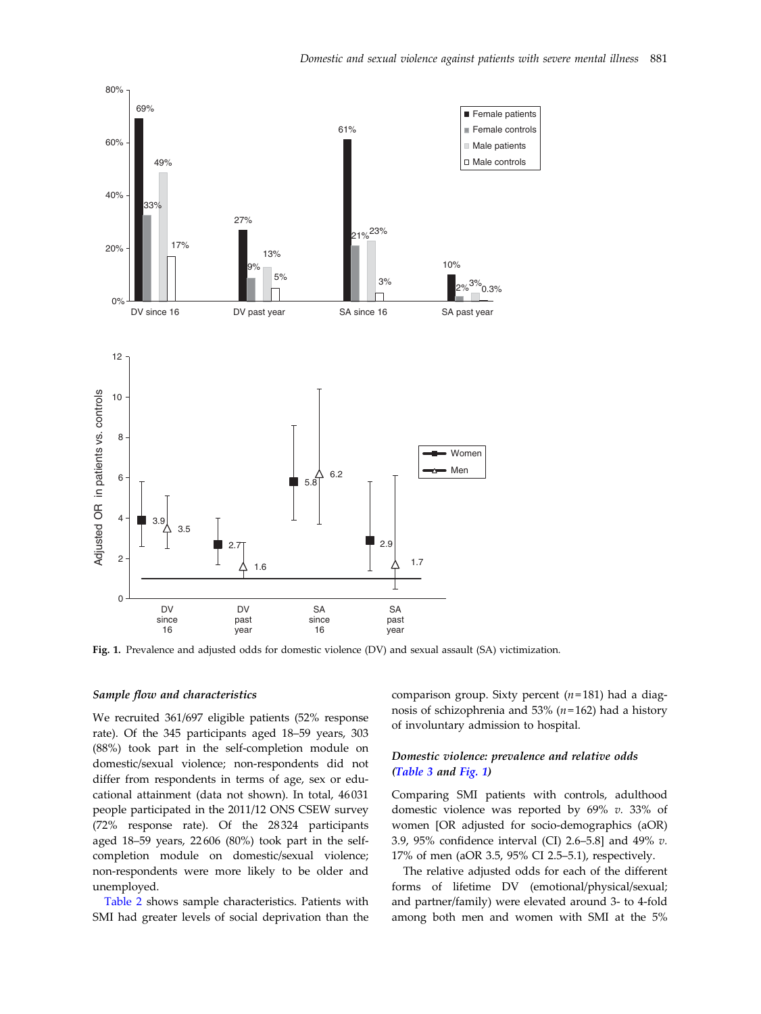<span id="page-6-0"></span>

Fig. 1. Prevalence and adjusted odds for domestic violence (DV) and sexual assault (SA) victimization.

#### Sample flow and characteristics

We recruited 361/697 eligible patients (52% response rate). Of the 345 participants aged 18–59 years, 303 (88%) took part in the self-completion module on domestic/sexual violence; non-respondents did not differ from respondents in terms of age, sex or educational attainment (data not shown). In total, 46 031 people participated in the 2011/12 ONS CSEW survey (72% response rate). Of the 28 324 participants aged 18–59 years, 22 606 (80%) took part in the selfcompletion module on domestic/sexual violence; non-respondents were more likely to be older and unemployed.

[Table 2](#page-3-0) shows sample characteristics. Patients with SMI had greater levels of social deprivation than the comparison group. Sixty percent  $(n=181)$  had a diagnosis of schizophrenia and 53% ( $n=162$ ) had a history of involuntary admission to hospital.

## Domestic violence: prevalence and relative odds ([Table 3](#page-4-0) and Fig. 1)

Comparing SMI patients with controls, adulthood domestic violence was reported by 69% v. 33% of women [OR adjusted for socio-demographics (aOR) 3.9, 95% confidence interval (CI) 2.6–5.8] and 49% v. 17% of men (aOR 3.5, 95% CI 2.5–5.1), respectively.

The relative adjusted odds for each of the different forms of lifetime DV (emotional/physical/sexual; and partner/family) were elevated around 3- to 4-fold among both men and women with SMI at the 5%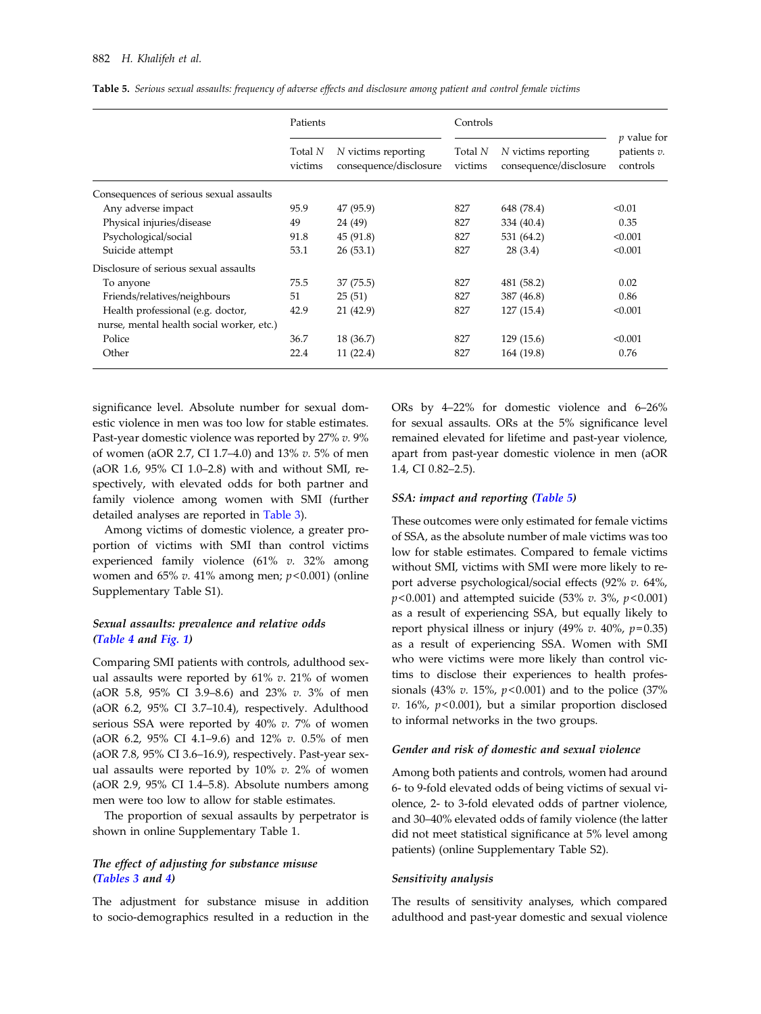|                                           | Patients           |                                               | Controls           |                                               |                                          |  |  |
|-------------------------------------------|--------------------|-----------------------------------------------|--------------------|-----------------------------------------------|------------------------------------------|--|--|
|                                           | Total N<br>victims | N victims reporting<br>consequence/disclosure | Total N<br>victims | N victims reporting<br>consequence/disclosure | $p$ value for<br>patients v.<br>controls |  |  |
| Consequences of serious sexual assaults   |                    |                                               |                    |                                               |                                          |  |  |
| Any adverse impact                        | 95.9               | 47 (95.9)                                     | 827                | 648 (78.4)                                    | < 0.01                                   |  |  |
| Physical injuries/disease                 | 49                 | 24 (49)                                       | 827                | 334 (40.4)                                    | 0.35                                     |  |  |
| Psychological/social                      | 91.8               | 45 (91.8)                                     | 827                | 531 (64.2)                                    | < 0.001                                  |  |  |
| Suicide attempt                           | 53.1               | 26(53.1)                                      | 827                | 28(3.4)                                       | < 0.001                                  |  |  |
| Disclosure of serious sexual assaults     |                    |                                               |                    |                                               |                                          |  |  |
| To anyone                                 | 75.5               | 37 (75.5)                                     | 827                | 481 (58.2)                                    | 0.02                                     |  |  |
| Friends/relatives/neighbours              | 51                 | 25(51)                                        | 827                | 387 (46.8)                                    | 0.86                                     |  |  |
| Health professional (e.g. doctor,         | 42.9               | 21 (42.9)                                     | 827                | 127(15.4)                                     | < 0.001                                  |  |  |
| nurse, mental health social worker, etc.) |                    |                                               |                    |                                               |                                          |  |  |
| Police                                    | 36.7               | 18 (36.7)                                     | 827                | 129(15.6)                                     | < 0.001                                  |  |  |
| Other                                     | 22.4               | 11(22.4)                                      | 827                | 164 (19.8)                                    | 0.76                                     |  |  |

Table 5. Serious sexual assaults: frequency of adverse effects and disclosure among patient and control female victims

significance level. Absolute number for sexual domestic violence in men was too low for stable estimates. Past-year domestic violence was reported by 27% v. 9% of women (aOR 2.7, CI 1.7–4.0) and 13% v. 5% of men (aOR 1.6, 95% CI 1.0–2.8) with and without SMI, respectively, with elevated odds for both partner and family violence among women with SMI (further detailed analyses are reported in [Table 3](#page-4-0)).

Among victims of domestic violence, a greater proportion of victims with SMI than control victims experienced family violence (61% v. 32% among women and  $65\%$  v. 41% among men;  $p<0.001$ ) (online Supplementary Table S1).

## Sexual assaults: prevalence and relative odds ([Table 4](#page-5-0) and [Fig. 1\)](#page-6-0)

Comparing SMI patients with controls, adulthood sexual assaults were reported by  $61\%$  v. 21% of women (aOR 5.8, 95% CI 3.9–8.6) and 23% v. 3% of men (aOR 6.2, 95% CI 3.7–10.4), respectively. Adulthood serious SSA were reported by 40% v. 7% of women (aOR 6.2, 95% CI 4.1–9.6) and 12% v. 0.5% of men (aOR 7.8, 95% CI 3.6–16.9), respectively. Past-year sexual assaults were reported by  $10\%$  v. 2% of women (aOR 2.9, 95% CI 1.4–5.8). Absolute numbers among men were too low to allow for stable estimates.

The proportion of sexual assaults by perpetrator is shown in online Supplementary Table 1.

## The effect of adjusting for substance misuse ([Tables 3](#page-4-0) and [4](#page-5-0))

The adjustment for substance misuse in addition to socio-demographics resulted in a reduction in the ORs by 4–22% for domestic violence and 6–26% for sexual assaults. ORs at the 5% significance level remained elevated for lifetime and past-year violence, apart from past-year domestic violence in men (aOR 1.4, CI 0.82–2.5).

#### SSA: impact and reporting (Table 5)

These outcomes were only estimated for female victims of SSA, as the absolute number of male victims was too low for stable estimates. Compared to female victims without SMI, victims with SMI were more likely to report adverse psychological/social effects (92% v. 64%,  $p$ <0.001) and attempted suicide (53% v. 3%,  $p$ <0.001) as a result of experiencing SSA, but equally likely to report physical illness or injury (49% v. 40%,  $p=0.35$ ) as a result of experiencing SSA. Women with SMI who were victims were more likely than control victims to disclose their experiences to health professionals (43% v. 15%,  $p<0.001$ ) and to the police (37%  $v. 16\%$ ,  $p<0.001$ ), but a similar proportion disclosed to informal networks in the two groups.

#### Gender and risk of domestic and sexual violence

Among both patients and controls, women had around 6- to 9-fold elevated odds of being victims of sexual violence, 2- to 3-fold elevated odds of partner violence, and 30–40% elevated odds of family violence (the latter did not meet statistical significance at 5% level among patients) (online Supplementary Table S2).

## Sensitivity analysis

The results of sensitivity analyses, which compared adulthood and past-year domestic and sexual violence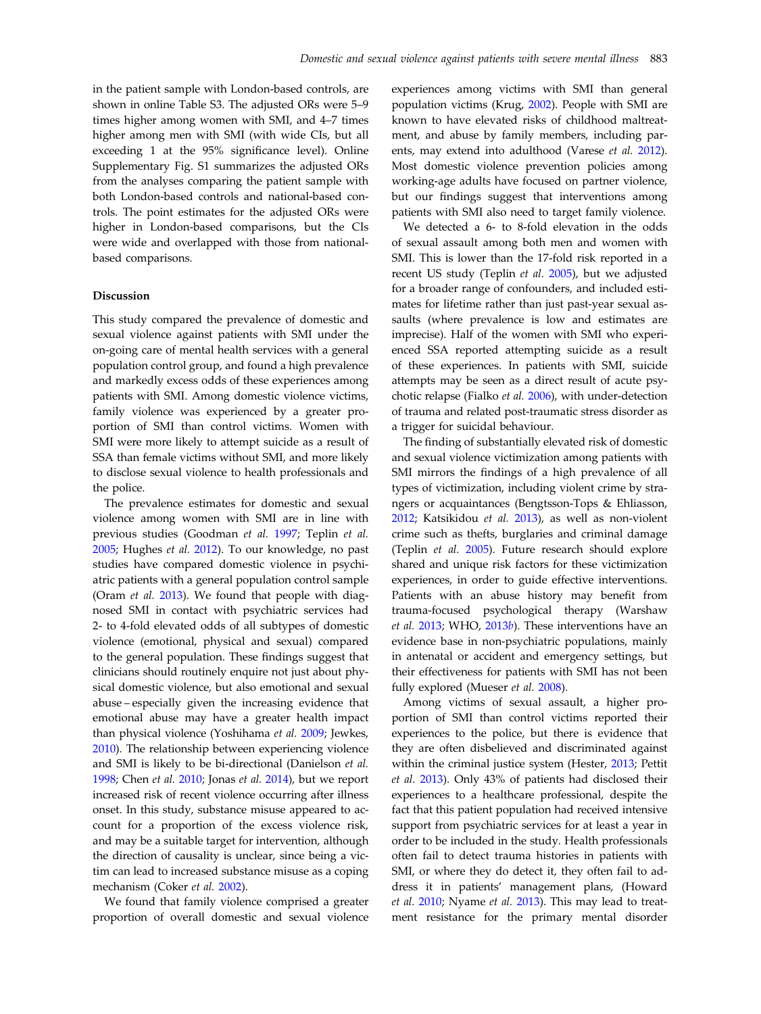in the patient sample with London-based controls, are shown in online Table S3. The adjusted ORs were 5–9 times higher among women with SMI, and 4–7 times higher among men with SMI (with wide CIs, but all exceeding 1 at the 95% significance level). Online Supplementary Fig. S1 summarizes the adjusted ORs from the analyses comparing the patient sample with both London-based controls and national-based controls. The point estimates for the adjusted ORs were higher in London-based comparisons, but the CIs were wide and overlapped with those from nationalbased comparisons.

#### Discussion

This study compared the prevalence of domestic and sexual violence against patients with SMI under the on-going care of mental health services with a general population control group, and found a high prevalence and markedly excess odds of these experiences among patients with SMI. Among domestic violence victims, family violence was experienced by a greater proportion of SMI than control victims. Women with SMI were more likely to attempt suicide as a result of SSA than female victims without SMI, and more likely to disclose sexual violence to health professionals and the police.

The prevalence estimates for domestic and sexual violence among women with SMI are in line with previous studies (Goodman et al. [1997;](#page-10-0) Teplin et al. [2005;](#page-11-0) Hughes et al. [2012](#page-11-0)). To our knowledge, no past studies have compared domestic violence in psychiatric patients with a general population control sample (Oram et al. [2013](#page-11-0)). We found that people with diagnosed SMI in contact with psychiatric services had 2- to 4-fold elevated odds of all subtypes of domestic violence (emotional, physical and sexual) compared to the general population. These findings suggest that clinicians should routinely enquire not just about physical domestic violence, but also emotional and sexual abuse – especially given the increasing evidence that emotional abuse may have a greater health impact than physical violence (Yoshihama et al. [2009;](#page-11-0) Jewkes, [2010\)](#page-11-0). The relationship between experiencing violence and SMI is likely to be bi-directional (Danielson et al. [1998;](#page-10-0) Chen et al. [2010](#page-10-0); Jonas et al. [2014\)](#page-11-0), but we report increased risk of recent violence occurring after illness onset. In this study, substance misuse appeared to account for a proportion of the excess violence risk, and may be a suitable target for intervention, although the direction of causality is unclear, since being a victim can lead to increased substance misuse as a coping mechanism (Coker et al. [2002](#page-10-0)).

We found that family violence comprised a greater proportion of overall domestic and sexual violence experiences among victims with SMI than general population victims (Krug, [2002\)](#page-11-0). People with SMI are known to have elevated risks of childhood maltreatment, and abuse by family members, including parents, may extend into adulthood (Varese et al. [2012](#page-11-0)). Most domestic violence prevention policies among working-age adults have focused on partner violence, but our findings suggest that interventions among patients with SMI also need to target family violence.

We detected a 6- to 8-fold elevation in the odds of sexual assault among both men and women with SMI. This is lower than the 17-fold risk reported in a recent US study (Teplin et al. [2005\)](#page-11-0), but we adjusted for a broader range of confounders, and included estimates for lifetime rather than just past-year sexual assaults (where prevalence is low and estimates are imprecise). Half of the women with SMI who experienced SSA reported attempting suicide as a result of these experiences. In patients with SMI, suicide attempts may be seen as a direct result of acute psychotic relapse (Fialko et al. [2006](#page-10-0)), with under-detection of trauma and related post-traumatic stress disorder as a trigger for suicidal behaviour.

The finding of substantially elevated risk of domestic and sexual violence victimization among patients with SMI mirrors the findings of a high prevalence of all types of victimization, including violent crime by strangers or acquaintances (Bengtsson-Tops & Ehliasson, [2012;](#page-10-0) Katsikidou et al. [2013\)](#page-11-0), as well as non-violent crime such as thefts, burglaries and criminal damage (Teplin et al. [2005\)](#page-11-0). Future research should explore shared and unique risk factors for these victimization experiences, in order to guide effective interventions. Patients with an abuse history may benefit from trauma-focused psychological therapy (Warshaw et al.  $2013$ ; WHO,  $2013b$ ). These interventions have an evidence base in non-psychiatric populations, mainly in antenatal or accident and emergency settings, but their effectiveness for patients with SMI has not been fully explored (Mueser et al. [2008](#page-11-0)).

Among victims of sexual assault, a higher proportion of SMI than control victims reported their experiences to the police, but there is evidence that they are often disbelieved and discriminated against within the criminal justice system (Hester, [2013;](#page-11-0) Pettit et al. [2013\)](#page-11-0). Only 43% of patients had disclosed their experiences to a healthcare professional, despite the fact that this patient population had received intensive support from psychiatric services for at least a year in order to be included in the study. Health professionals often fail to detect trauma histories in patients with SMI, or where they do detect it, they often fail to address it in patients' management plans, (Howard et al. [2010;](#page-11-0) Nyame et al. [2013\)](#page-11-0). This may lead to treatment resistance for the primary mental disorder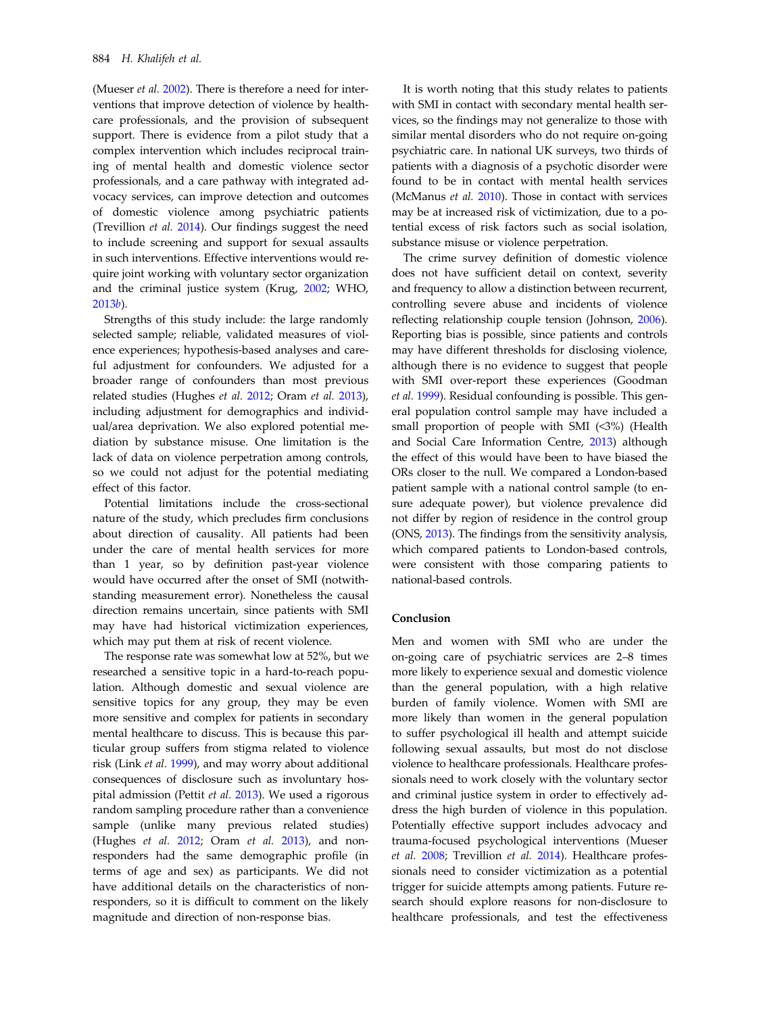(Mueser et al. [2002\)](#page-11-0). There is therefore a need for interventions that improve detection of violence by healthcare professionals, and the provision of subsequent support. There is evidence from a pilot study that a complex intervention which includes reciprocal training of mental health and domestic violence sector professionals, and a care pathway with integrated advocacy services, can improve detection and outcomes of domestic violence among psychiatric patients (Trevillion et al. [2014\)](#page-11-0). Our findings suggest the need to include screening and support for sexual assaults in such interventions. Effective interventions would require joint working with voluntary sector organization and the criminal justice system (Krug, [2002;](#page-11-0) WHO, [2013](#page-11-0)b).

Strengths of this study include: the large randomly selected sample; reliable, validated measures of violence experiences; hypothesis-based analyses and careful adjustment for confounders. We adjusted for a broader range of confounders than most previous related studies (Hughes et al. [2012;](#page-11-0) Oram et al. [2013](#page-11-0)), including adjustment for demographics and individual/area deprivation. We also explored potential mediation by substance misuse. One limitation is the lack of data on violence perpetration among controls, so we could not adjust for the potential mediating effect of this factor.

Potential limitations include the cross-sectional nature of the study, which precludes firm conclusions about direction of causality. All patients had been under the care of mental health services for more than 1 year, so by definition past-year violence would have occurred after the onset of SMI (notwithstanding measurement error). Nonetheless the causal direction remains uncertain, since patients with SMI may have had historical victimization experiences, which may put them at risk of recent violence.

The response rate was somewhat low at 52%, but we researched a sensitive topic in a hard-to-reach population. Although domestic and sexual violence are sensitive topics for any group, they may be even more sensitive and complex for patients in secondary mental healthcare to discuss. This is because this particular group suffers from stigma related to violence risk (Link et al. [1999](#page-11-0)), and may worry about additional consequences of disclosure such as involuntary hospital admission (Pettit et al. [2013](#page-11-0)). We used a rigorous random sampling procedure rather than a convenience sample (unlike many previous related studies) (Hughes et al. [2012;](#page-11-0) Oram et al. [2013\)](#page-11-0), and nonresponders had the same demographic profile (in terms of age and sex) as participants. We did not have additional details on the characteristics of nonresponders, so it is difficult to comment on the likely magnitude and direction of non-response bias.

It is worth noting that this study relates to patients with SMI in contact with secondary mental health services, so the findings may not generalize to those with similar mental disorders who do not require on-going psychiatric care. In national UK surveys, two thirds of patients with a diagnosis of a psychotic disorder were found to be in contact with mental health services (McManus et al. [2010](#page-11-0)). Those in contact with services may be at increased risk of victimization, due to a potential excess of risk factors such as social isolation, substance misuse or violence perpetration.

The crime survey definition of domestic violence does not have sufficient detail on context, severity and frequency to allow a distinction between recurrent, controlling severe abuse and incidents of violence reflecting relationship couple tension (Johnson, [2006](#page-11-0)). Reporting bias is possible, since patients and controls may have different thresholds for disclosing violence, although there is no evidence to suggest that people with SMI over-report these experiences (Goodman et al. [1999](#page-10-0)). Residual confounding is possible. This general population control sample may have included a small proportion of people with SMI (<3%) (Health and Social Care Information Centre, [2013\)](#page-10-0) although the effect of this would have been to have biased the ORs closer to the null. We compared a London-based patient sample with a national control sample (to ensure adequate power), but violence prevalence did not differ by region of residence in the control group (ONS, [2013](#page-11-0)). The findings from the sensitivity analysis, which compared patients to London-based controls, were consistent with those comparing patients to national-based controls.

## Conclusion

Men and women with SMI who are under the on-going care of psychiatric services are 2–8 times more likely to experience sexual and domestic violence than the general population, with a high relative burden of family violence. Women with SMI are more likely than women in the general population to suffer psychological ill health and attempt suicide following sexual assaults, but most do not disclose violence to healthcare professionals. Healthcare professionals need to work closely with the voluntary sector and criminal justice system in order to effectively address the high burden of violence in this population. Potentially effective support includes advocacy and trauma-focused psychological interventions (Mueser et al. [2008](#page-11-0); Trevillion et al. [2014\)](#page-11-0). Healthcare professionals need to consider victimization as a potential trigger for suicide attempts among patients. Future research should explore reasons for non-disclosure to healthcare professionals, and test the effectiveness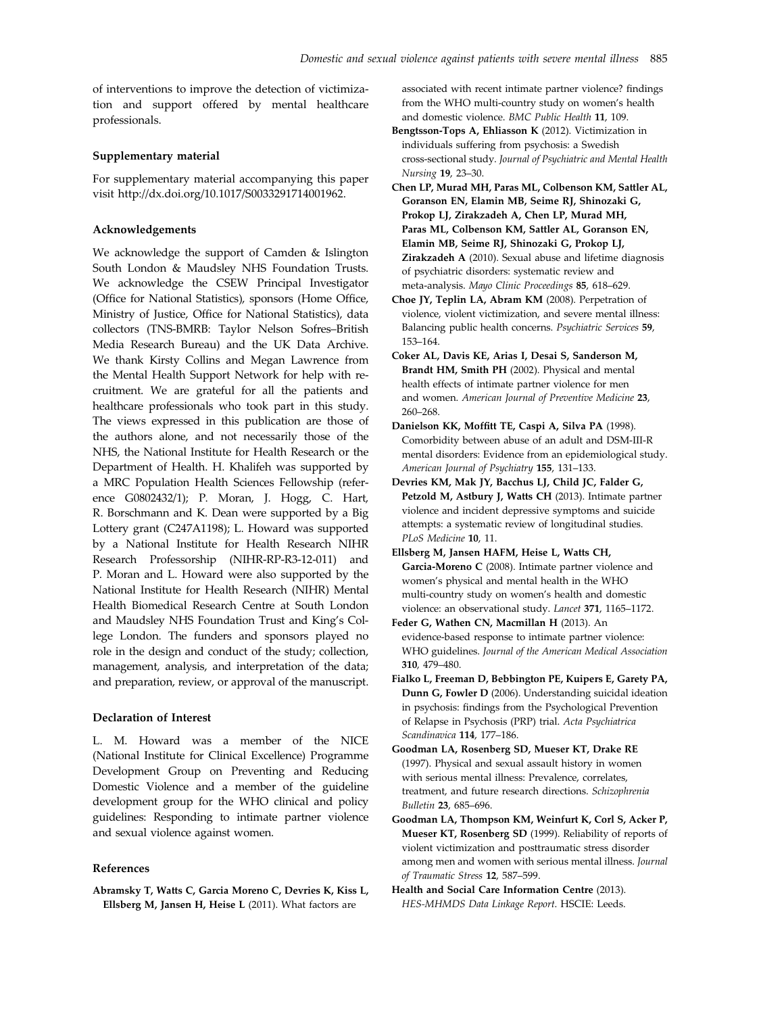<span id="page-10-0"></span>of interventions to improve the detection of victimization and support offered by mental healthcare professionals.

## Supplementary material

For supplementary material accompanying this paper visit http://dx.doi.org/10.1017/S0033291714001962.

## Acknowledgements

We acknowledge the support of Camden & Islington South London & Maudsley NHS Foundation Trusts. We acknowledge the CSEW Principal Investigator (Office for National Statistics), sponsors (Home Office, Ministry of Justice, Office for National Statistics), data collectors (TNS-BMRB: Taylor Nelson Sofres–British Media Research Bureau) and the UK Data Archive. We thank Kirsty Collins and Megan Lawrence from the Mental Health Support Network for help with recruitment. We are grateful for all the patients and healthcare professionals who took part in this study. The views expressed in this publication are those of the authors alone, and not necessarily those of the NHS, the National Institute for Health Research or the Department of Health. H. Khalifeh was supported by a MRC Population Health Sciences Fellowship (reference G0802432/1); P. Moran, J. Hogg, C. Hart, R. Borschmann and K. Dean were supported by a Big Lottery grant (C247A1198); L. Howard was supported by a National Institute for Health Research NIHR Research Professorship (NIHR-RP-R3-12-011) and P. Moran and L. Howard were also supported by the National Institute for Health Research (NIHR) Mental Health Biomedical Research Centre at South London and Maudsley NHS Foundation Trust and King's College London. The funders and sponsors played no role in the design and conduct of the study; collection, management, analysis, and interpretation of the data; and preparation, review, or approval of the manuscript.

## Declaration of Interest

L. M. Howard was a member of the NICE (National Institute for Clinical Excellence) Programme Development Group on Preventing and Reducing Domestic Violence and a member of the guideline development group for the WHO clinical and policy guidelines: Responding to intimate partner violence and sexual violence against women.

## References

Abramsky T, Watts C, Garcia Moreno C, Devries K, Kiss L, Ellsberg M, Jansen H, Heise L (2011). What factors are

associated with recent intimate partner violence? findings from the WHO multi-country study on women's health and domestic violence. BMC Public Health 11, 109.

- Bengtsson-Tops A, Ehliasson K (2012). Victimization in individuals suffering from psychosis: a Swedish cross-sectional study. Journal of Psychiatric and Mental Health Nursing 19, 23–30.
- Chen LP, Murad MH, Paras ML, Colbenson KM, Sattler AL, Goranson EN, Elamin MB, Seime RJ, Shinozaki G, Prokop LJ, Zirakzadeh A, Chen LP, Murad MH, Paras ML, Colbenson KM, Sattler AL, Goranson EN, Elamin MB, Seime RJ, Shinozaki G, Prokop LJ, Zirakzadeh A (2010). Sexual abuse and lifetime diagnosis of psychiatric disorders: systematic review and meta-analysis. Mayo Clinic Proceedings 85, 618–629.
- Choe JY, Teplin LA, Abram KM (2008). Perpetration of violence, violent victimization, and severe mental illness: Balancing public health concerns. Psychiatric Services 59, 153–164.
- Coker AL, Davis KE, Arias I, Desai S, Sanderson M, Brandt HM, Smith PH (2002). Physical and mental health effects of intimate partner violence for men and women. American Journal of Preventive Medicine 23, 260–268.
- Danielson KK, Moffitt TE, Caspi A, Silva PA (1998). Comorbidity between abuse of an adult and DSM-III-R mental disorders: Evidence from an epidemiological study. American Journal of Psychiatry 155, 131–133.
- Devries KM, Mak JY, Bacchus LJ, Child JC, Falder G, Petzold M, Astbury J, Watts CH (2013). Intimate partner violence and incident depressive symptoms and suicide attempts: a systematic review of longitudinal studies. PLoS Medicine 10, 11.
- Ellsberg M, Jansen HAFM, Heise L, Watts CH, Garcia-Moreno C (2008). Intimate partner violence and women's physical and mental health in the WHO multi-country study on women's health and domestic violence: an observational study. Lancet 371, 1165–1172.
- Feder G, Wathen CN, Macmillan H (2013). An evidence-based response to intimate partner violence: WHO guidelines. Journal of the American Medical Association 310, 479–480.
- Fialko L, Freeman D, Bebbington PE, Kuipers E, Garety PA, Dunn G, Fowler D (2006). Understanding suicidal ideation in psychosis: findings from the Psychological Prevention of Relapse in Psychosis (PRP) trial. Acta Psychiatrica Scandinavica 114, 177–186.
- Goodman LA, Rosenberg SD, Mueser KT, Drake RE (1997). Physical and sexual assault history in women with serious mental illness: Prevalence, correlates, treatment, and future research directions. Schizophrenia Bulletin 23, 685–696.
- Goodman LA, Thompson KM, Weinfurt K, Corl S, Acker P, Mueser KT, Rosenberg SD (1999). Reliability of reports of violent victimization and posttraumatic stress disorder among men and women with serious mental illness. Journal of Traumatic Stress 12, 587–599.
- Health and Social Care Information Centre (2013). HES-MHMDS Data Linkage Report. HSCIE: Leeds.